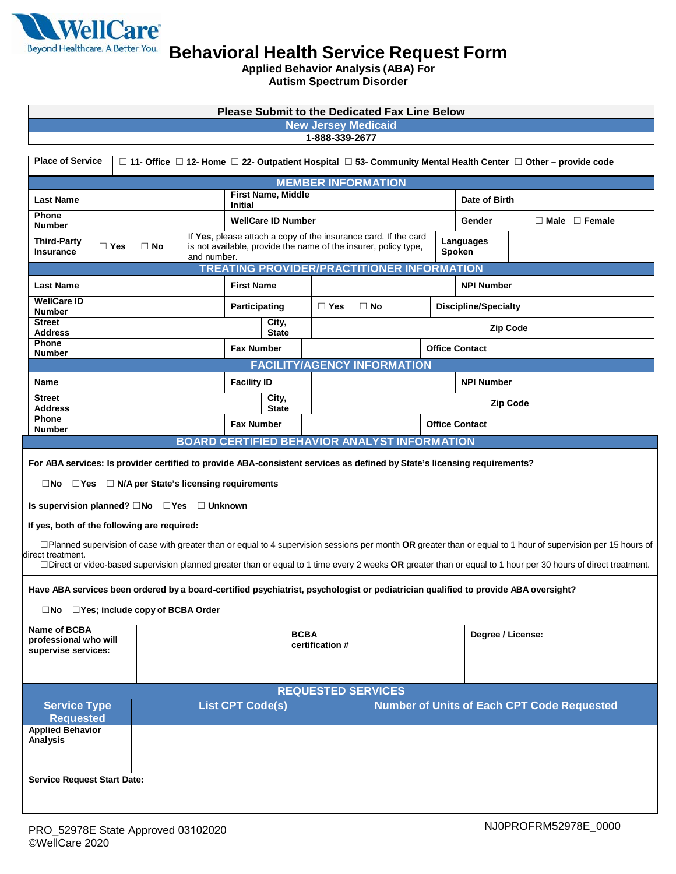

**Applied Behavior Analysis (ABA) For**

| <b>Autism Spectrum Disorder</b>                                                                                                                                   |                                                                                                                          |                           |  |                         |                                                                                                                                    |                 |               |                                                                                                                                                               |                     |                       |                   |                           |                                                   |  |
|-------------------------------------------------------------------------------------------------------------------------------------------------------------------|--------------------------------------------------------------------------------------------------------------------------|---------------------------|--|-------------------------|------------------------------------------------------------------------------------------------------------------------------------|-----------------|---------------|---------------------------------------------------------------------------------------------------------------------------------------------------------------|---------------------|-----------------------|-------------------|---------------------------|---------------------------------------------------|--|
| <b>Please Submit to the Dedicated Fax Line Below</b>                                                                                                              |                                                                                                                          |                           |  |                         |                                                                                                                                    |                 |               |                                                                                                                                                               |                     |                       |                   |                           |                                                   |  |
| <b>New Jersey Medicaid</b><br>1-888-339-2677                                                                                                                      |                                                                                                                          |                           |  |                         |                                                                                                                                    |                 |               |                                                                                                                                                               |                     |                       |                   |                           |                                                   |  |
|                                                                                                                                                                   |                                                                                                                          |                           |  |                         |                                                                                                                                    |                 |               |                                                                                                                                                               |                     |                       |                   |                           |                                                   |  |
| <b>Place of Service</b><br>$\Box$ 11- Office $\Box$ 12- Home $\Box$ 22- Outpatient Hospital $\Box$ 53- Community Mental Health Center $\Box$ Other – provide code |                                                                                                                          |                           |  |                         |                                                                                                                                    |                 |               |                                                                                                                                                               |                     |                       |                   |                           |                                                   |  |
|                                                                                                                                                                   | <b>MEMBER INFORMATION</b><br><b>First Name, Middle</b>                                                                   |                           |  |                         |                                                                                                                                    |                 |               |                                                                                                                                                               |                     |                       |                   |                           |                                                   |  |
| <b>Last Name</b><br><b>Phone</b>                                                                                                                                  |                                                                                                                          | <b>Initial</b>            |  |                         |                                                                                                                                    |                 |               |                                                                                                                                                               |                     |                       | Date of Birth     |                           |                                                   |  |
| <b>Number</b>                                                                                                                                                     |                                                                                                                          | <b>WellCare ID Number</b> |  |                         |                                                                                                                                    |                 |               |                                                                                                                                                               | Gender              |                       |                   | $\Box$ Male $\Box$ Female |                                                   |  |
| <b>Third-Party</b><br>Insurance                                                                                                                                   | $\Box$ Yes                                                                                                               | $\Box$ No<br>and number.  |  |                         | If Yes, please attach a copy of the insurance card. If the card<br>is not available, provide the name of the insurer, policy type, |                 |               |                                                                                                                                                               | Languages<br>Spoken |                       |                   |                           |                                                   |  |
| <b>TREATING PROVIDER/PRACTITIONER INFORMATION</b>                                                                                                                 |                                                                                                                          |                           |  |                         |                                                                                                                                    |                 |               |                                                                                                                                                               |                     |                       |                   |                           |                                                   |  |
| <b>Last Name</b>                                                                                                                                                  |                                                                                                                          |                           |  | <b>First Name</b>       |                                                                                                                                    |                 |               |                                                                                                                                                               |                     |                       | <b>NPI Number</b> |                           |                                                   |  |
| <b>WellCare ID</b><br><b>Number</b>                                                                                                                               |                                                                                                                          |                           |  | Participating           |                                                                                                                                    |                 | $\square$ Yes | <b>Discipline/Specialty</b><br>$\Box$ No                                                                                                                      |                     |                       |                   |                           |                                                   |  |
| <b>Street</b><br>Address                                                                                                                                          |                                                                                                                          |                           |  |                         | City,<br><b>State</b>                                                                                                              |                 |               |                                                                                                                                                               |                     |                       | <b>Zip Code</b>   |                           |                                                   |  |
| Phone<br><b>Number</b>                                                                                                                                            |                                                                                                                          |                           |  | <b>Fax Number</b>       |                                                                                                                                    |                 |               |                                                                                                                                                               |                     | <b>Office Contact</b> |                   |                           |                                                   |  |
|                                                                                                                                                                   |                                                                                                                          |                           |  |                         |                                                                                                                                    |                 |               | <b>FACILITY/AGENCY INFORMATION</b>                                                                                                                            |                     |                       |                   |                           |                                                   |  |
| Name                                                                                                                                                              |                                                                                                                          |                           |  | <b>Facility ID</b>      |                                                                                                                                    |                 |               |                                                                                                                                                               |                     | <b>NPI Number</b>     |                   |                           |                                                   |  |
| <b>Street</b><br><b>Address</b>                                                                                                                                   |                                                                                                                          |                           |  |                         | City,<br><b>State</b>                                                                                                              |                 |               |                                                                                                                                                               |                     |                       | <b>Zip Code</b>   |                           |                                                   |  |
| <b>Phone</b><br><b>Number</b>                                                                                                                                     |                                                                                                                          |                           |  | <b>Fax Number</b>       |                                                                                                                                    |                 |               |                                                                                                                                                               |                     | <b>Office Contact</b> |                   |                           |                                                   |  |
|                                                                                                                                                                   | <b>BOARD CERTIFIED BEHAVIOR ANALYST INFORMATION</b>                                                                      |                           |  |                         |                                                                                                                                    |                 |               |                                                                                                                                                               |                     |                       |                   |                           |                                                   |  |
|                                                                                                                                                                   | For ABA services: Is provider certified to provide ABA-consistent services as defined by State's licensing requirements? |                           |  |                         |                                                                                                                                    |                 |               |                                                                                                                                                               |                     |                       |                   |                           |                                                   |  |
| $\Box$ No $\Box$ Yes $\Box$ N/A per State's licensing requirements                                                                                                |                                                                                                                          |                           |  |                         |                                                                                                                                    |                 |               |                                                                                                                                                               |                     |                       |                   |                           |                                                   |  |
| Is supervision planned? □No □Yes □ Unknown                                                                                                                        |                                                                                                                          |                           |  |                         |                                                                                                                                    |                 |               |                                                                                                                                                               |                     |                       |                   |                           |                                                   |  |
| If yes, both of the following are required:                                                                                                                       |                                                                                                                          |                           |  |                         |                                                                                                                                    |                 |               |                                                                                                                                                               |                     |                       |                   |                           |                                                   |  |
|                                                                                                                                                                   |                                                                                                                          |                           |  |                         |                                                                                                                                    |                 |               | □Planned supervision of case with greater than or equal to 4 supervision sessions per month OR greater than or equal to 1 hour of supervision per 15 hours of |                     |                       |                   |                           |                                                   |  |
| direct treatment.                                                                                                                                                 |                                                                                                                          |                           |  |                         |                                                                                                                                    |                 |               | □Direct or video-based supervision planned greater than or equal to 1 time every 2 weeks OR greater than or equal to 1 hour per 30 hours of direct treatment. |                     |                       |                   |                           |                                                   |  |
| Have ABA services been ordered by a board-certified psychiatrist, psychologist or pediatrician qualified to provide ABA oversight?                                |                                                                                                                          |                           |  |                         |                                                                                                                                    |                 |               |                                                                                                                                                               |                     |                       |                   |                           |                                                   |  |
| □Yes; include copy of BCBA Order<br>⊟No                                                                                                                           |                                                                                                                          |                           |  |                         |                                                                                                                                    |                 |               |                                                                                                                                                               |                     |                       |                   |                           |                                                   |  |
| Name of BCBA                                                                                                                                                      |                                                                                                                          | <b>BCBA</b>               |  |                         |                                                                                                                                    |                 |               |                                                                                                                                                               |                     | Degree / License:     |                   |                           |                                                   |  |
| professional who will<br>supervise services:                                                                                                                      |                                                                                                                          |                           |  |                         |                                                                                                                                    | certification # |               |                                                                                                                                                               |                     |                       |                   |                           |                                                   |  |
|                                                                                                                                                                   |                                                                                                                          |                           |  |                         |                                                                                                                                    |                 |               |                                                                                                                                                               |                     |                       |                   |                           |                                                   |  |
| <b>REQUESTED SERVICES</b>                                                                                                                                         |                                                                                                                          |                           |  |                         |                                                                                                                                    |                 |               |                                                                                                                                                               |                     |                       |                   |                           |                                                   |  |
| <b>Service Type</b><br><b>Requested</b>                                                                                                                           |                                                                                                                          |                           |  | <b>List CPT Code(s)</b> |                                                                                                                                    |                 |               |                                                                                                                                                               |                     |                       |                   |                           | <b>Number of Units of Each CPT Code Requested</b> |  |
| <b>Applied Behavior</b>                                                                                                                                           |                                                                                                                          |                           |  |                         |                                                                                                                                    |                 |               |                                                                                                                                                               |                     |                       |                   |                           |                                                   |  |
| Analysis                                                                                                                                                          |                                                                                                                          |                           |  |                         |                                                                                                                                    |                 |               |                                                                                                                                                               |                     |                       |                   |                           |                                                   |  |
|                                                                                                                                                                   |                                                                                                                          |                           |  |                         |                                                                                                                                    |                 |               |                                                                                                                                                               |                     |                       |                   |                           |                                                   |  |

**Service Request Start Date:**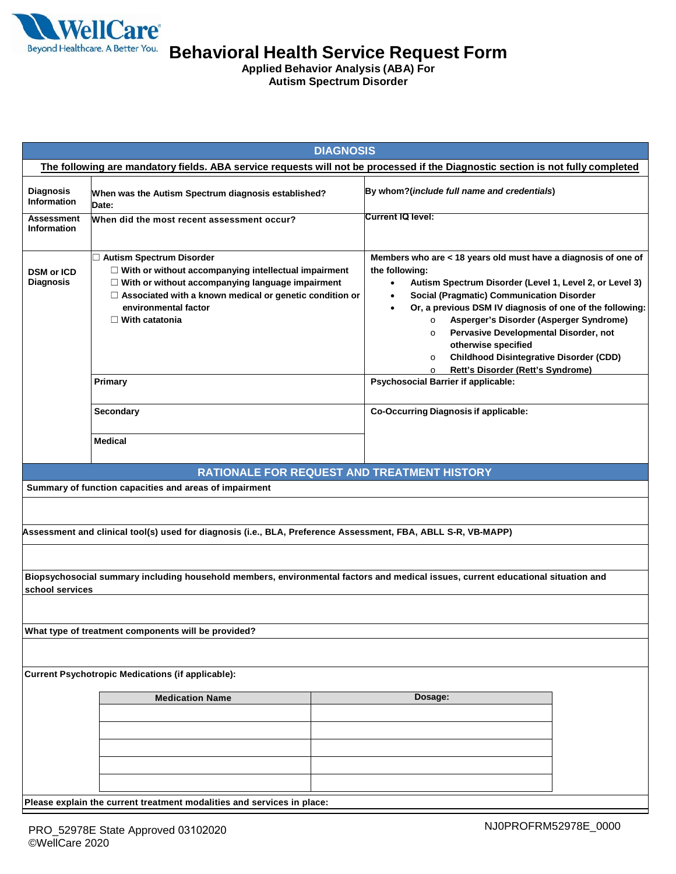

**Applied Behavior Analysis (ABA) For Autism Spectrum Disorder**

| <b>DIAGNOSIS</b>                                                                                                                                    |                                                                                                                                                                                                                                                                       |                                                                                                                                                                                                                                                                                                                                                                                                                                                                                                                 |  |  |  |  |  |  |
|-----------------------------------------------------------------------------------------------------------------------------------------------------|-----------------------------------------------------------------------------------------------------------------------------------------------------------------------------------------------------------------------------------------------------------------------|-----------------------------------------------------------------------------------------------------------------------------------------------------------------------------------------------------------------------------------------------------------------------------------------------------------------------------------------------------------------------------------------------------------------------------------------------------------------------------------------------------------------|--|--|--|--|--|--|
| The following are mandatory fields. ABA service requests will not be processed if the Diagnostic section is not fully completed                     |                                                                                                                                                                                                                                                                       |                                                                                                                                                                                                                                                                                                                                                                                                                                                                                                                 |  |  |  |  |  |  |
| <b>Diagnosis</b><br><b>Information</b>                                                                                                              | When was the Autism Spectrum diagnosis established?<br>Date:                                                                                                                                                                                                          | By whom?(include full name and credentials)                                                                                                                                                                                                                                                                                                                                                                                                                                                                     |  |  |  |  |  |  |
| <b>Assessment</b><br><b>Information</b>                                                                                                             | When did the most recent assessment occur?                                                                                                                                                                                                                            | Current IQ level:                                                                                                                                                                                                                                                                                                                                                                                                                                                                                               |  |  |  |  |  |  |
| <b>DSM or ICD</b><br><b>Diagnosis</b>                                                                                                               | Autism Spectrum Disorder<br>$\Box$ With or without accompanying intellectual impairment<br>$\Box$ With or without accompanying language impairment<br>$\Box$ Associated with a known medical or genetic condition or<br>environmental factor<br>$\Box$ With catatonia | Members who are < 18 years old must have a diagnosis of one of<br>the following:<br>Autism Spectrum Disorder (Level 1, Level 2, or Level 3)<br>$\bullet$<br>Social (Pragmatic) Communication Disorder<br>Or, a previous DSM IV diagnosis of one of the following:<br>Asperger's Disorder (Asperger Syndrome)<br>$\circ$<br>Pervasive Developmental Disorder, not<br>$\circ$<br>otherwise specified<br><b>Childhood Disintegrative Disorder (CDD)</b><br>$\circ$<br>Rett's Disorder (Rett's Syndrome)<br>$\circ$ |  |  |  |  |  |  |
|                                                                                                                                                     | Primary                                                                                                                                                                                                                                                               | <b>Psychosocial Barrier if applicable:</b>                                                                                                                                                                                                                                                                                                                                                                                                                                                                      |  |  |  |  |  |  |
|                                                                                                                                                     | Secondary                                                                                                                                                                                                                                                             | <b>Co-Occurring Diagnosis if applicable:</b>                                                                                                                                                                                                                                                                                                                                                                                                                                                                    |  |  |  |  |  |  |
|                                                                                                                                                     | <b>Medical</b>                                                                                                                                                                                                                                                        |                                                                                                                                                                                                                                                                                                                                                                                                                                                                                                                 |  |  |  |  |  |  |
|                                                                                                                                                     |                                                                                                                                                                                                                                                                       | RATIONALE FOR REQUEST AND TREATMENT HISTORY                                                                                                                                                                                                                                                                                                                                                                                                                                                                     |  |  |  |  |  |  |
|                                                                                                                                                     | Summary of function capacities and areas of impairment                                                                                                                                                                                                                |                                                                                                                                                                                                                                                                                                                                                                                                                                                                                                                 |  |  |  |  |  |  |
|                                                                                                                                                     |                                                                                                                                                                                                                                                                       |                                                                                                                                                                                                                                                                                                                                                                                                                                                                                                                 |  |  |  |  |  |  |
|                                                                                                                                                     | Assessment and clinical tool(s) used for diagnosis (i.e., BLA, Preference Assessment, FBA, ABLL S-R, VB-MAPP)                                                                                                                                                         |                                                                                                                                                                                                                                                                                                                                                                                                                                                                                                                 |  |  |  |  |  |  |
|                                                                                                                                                     |                                                                                                                                                                                                                                                                       |                                                                                                                                                                                                                                                                                                                                                                                                                                                                                                                 |  |  |  |  |  |  |
| Biopsychosocial summary including household members, environmental factors and medical issues, current educational situation and<br>school services |                                                                                                                                                                                                                                                                       |                                                                                                                                                                                                                                                                                                                                                                                                                                                                                                                 |  |  |  |  |  |  |
|                                                                                                                                                     |                                                                                                                                                                                                                                                                       |                                                                                                                                                                                                                                                                                                                                                                                                                                                                                                                 |  |  |  |  |  |  |
|                                                                                                                                                     | What type of treatment components will be provided?                                                                                                                                                                                                                   |                                                                                                                                                                                                                                                                                                                                                                                                                                                                                                                 |  |  |  |  |  |  |
|                                                                                                                                                     |                                                                                                                                                                                                                                                                       |                                                                                                                                                                                                                                                                                                                                                                                                                                                                                                                 |  |  |  |  |  |  |
| <b>Current Psychotropic Medications (if applicable):</b>                                                                                            |                                                                                                                                                                                                                                                                       |                                                                                                                                                                                                                                                                                                                                                                                                                                                                                                                 |  |  |  |  |  |  |
|                                                                                                                                                     | <b>Medication Name</b>                                                                                                                                                                                                                                                | Dosage:                                                                                                                                                                                                                                                                                                                                                                                                                                                                                                         |  |  |  |  |  |  |
|                                                                                                                                                     |                                                                                                                                                                                                                                                                       |                                                                                                                                                                                                                                                                                                                                                                                                                                                                                                                 |  |  |  |  |  |  |
|                                                                                                                                                     |                                                                                                                                                                                                                                                                       |                                                                                                                                                                                                                                                                                                                                                                                                                                                                                                                 |  |  |  |  |  |  |
|                                                                                                                                                     |                                                                                                                                                                                                                                                                       |                                                                                                                                                                                                                                                                                                                                                                                                                                                                                                                 |  |  |  |  |  |  |
|                                                                                                                                                     |                                                                                                                                                                                                                                                                       |                                                                                                                                                                                                                                                                                                                                                                                                                                                                                                                 |  |  |  |  |  |  |
|                                                                                                                                                     |                                                                                                                                                                                                                                                                       |                                                                                                                                                                                                                                                                                                                                                                                                                                                                                                                 |  |  |  |  |  |  |
| Please explain the current treatment modalities and services in place:                                                                              |                                                                                                                                                                                                                                                                       |                                                                                                                                                                                                                                                                                                                                                                                                                                                                                                                 |  |  |  |  |  |  |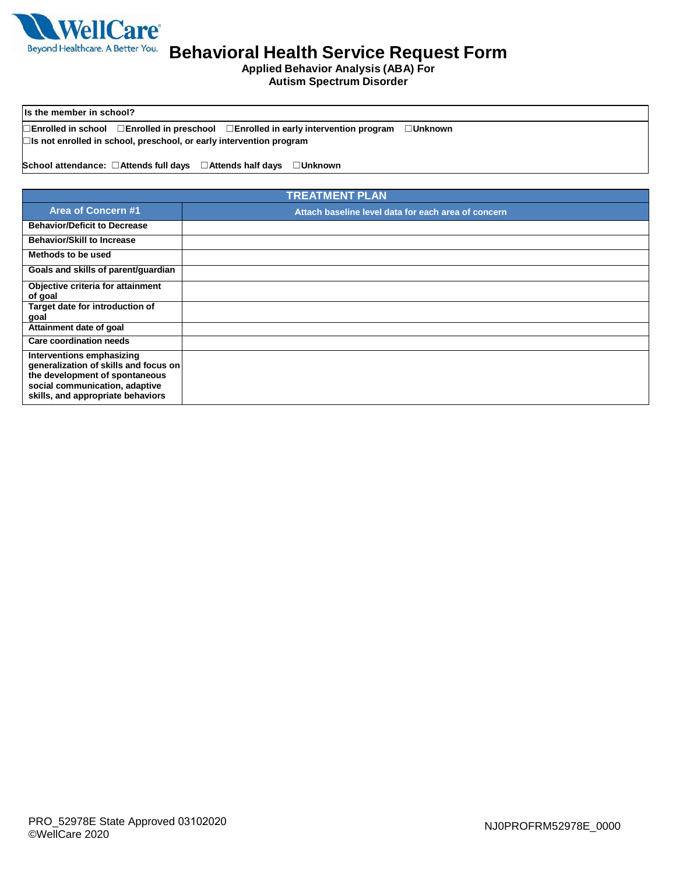

 **Applied Behavior Analysis (ABA) For Autism Spectrum Disorder**

 **Is the member in school?** 

 ☐**Enrolled in school** ☐**Enrolled in preschool** ☐**Enrolled in early intervention program Unknown**  ☐ ☐**Is not enrolled in school, preschool, or early intervention program** 

**School attendance:** ☐**Attends full days** ☐**Attends half days** ☐**Unknown** 

| <b>TREATMENT PLAN</b>                                                                                                                                                       |                                                     |  |  |  |
|-----------------------------------------------------------------------------------------------------------------------------------------------------------------------------|-----------------------------------------------------|--|--|--|
| <b>Area of Concern #1</b>                                                                                                                                                   | Attach baseline level data for each area of concern |  |  |  |
| <b>Behavior/Deficit to Decrease</b>                                                                                                                                         |                                                     |  |  |  |
| <b>Behavior/Skill to Increase</b>                                                                                                                                           |                                                     |  |  |  |
| Methods to be used                                                                                                                                                          |                                                     |  |  |  |
| Goals and skills of parent/guardian                                                                                                                                         |                                                     |  |  |  |
| Objective criteria for attainment<br>of goal                                                                                                                                |                                                     |  |  |  |
| Target date for introduction of<br>goal                                                                                                                                     |                                                     |  |  |  |
| Attainment date of goal                                                                                                                                                     |                                                     |  |  |  |
| Care coordination needs                                                                                                                                                     |                                                     |  |  |  |
| Interventions emphasizing<br>generalization of skills and focus on<br>the development of spontaneous<br>social communication, adaptive<br>skills, and appropriate behaviors |                                                     |  |  |  |